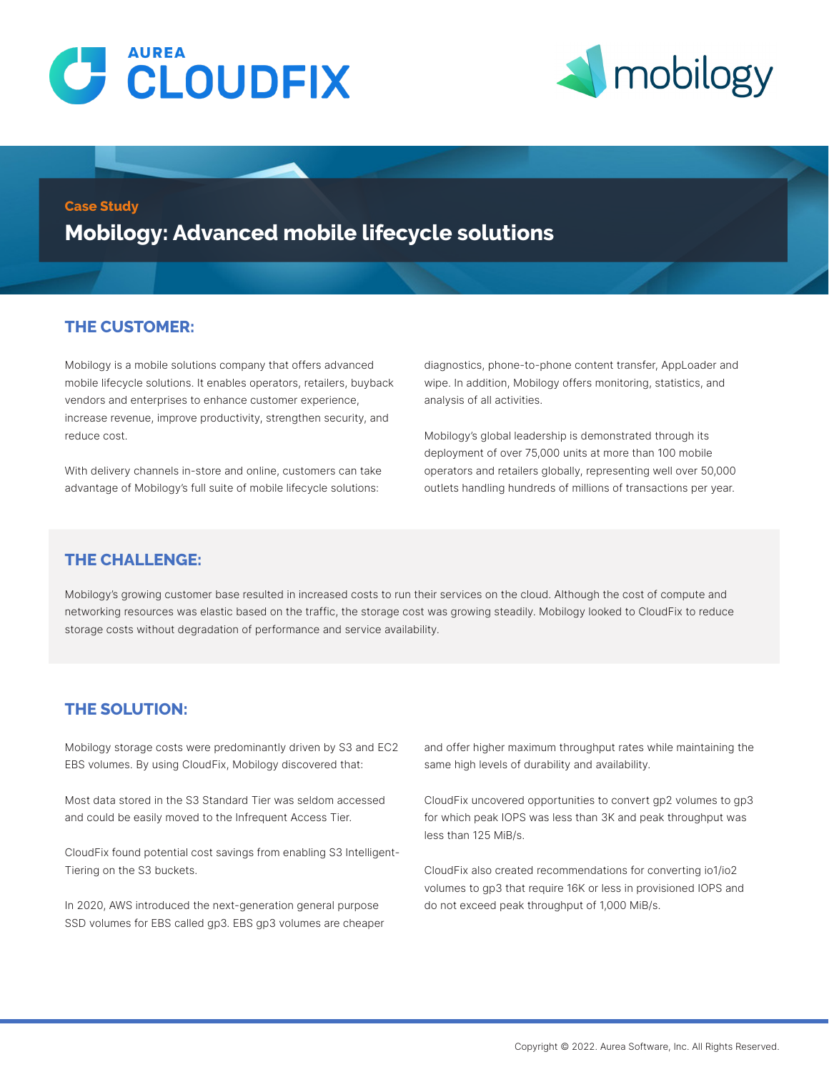



#### **Case Study**

**Mobilogy: Advanced mobile lifecycle solutions**

### **THE CUSTOMER:**

Mobilogy is a mobile solutions company that offers advanced mobile lifecycle solutions. It enables operators, retailers, buyback vendors and enterprises to enhance customer experience, increase revenue, improve productivity, strengthen security, and reduce cost.

With delivery channels in-store and online, customers can take advantage of Mobilogy's full suite of mobile lifecycle solutions:

diagnostics, phone-to-phone content transfer, AppLoader and wipe. In addition, Mobilogy offers monitoring, statistics, and analysis of all activities.

Mobilogy's global leadership is demonstrated through its deployment of over 75,000 units at more than 100 mobile operators and retailers globally, representing well over 50,000 outlets handling hundreds of millions of transactions per year.

### **THE CHALLENGE:**

Mobilogy's growing customer base resulted in increased costs to run their services on the cloud. Although the cost of compute and networking resources was elastic based on the traffic, the storage cost was growing steadily. Mobilogy looked to CloudFix to reduce storage costs without degradation of performance and service availability.

### **THE SOLUTION:**

Mobilogy storage costs were predominantly driven by S3 and EC2 EBS volumes. By using CloudFix, Mobilogy discovered that:

Most data stored in the S3 Standard Tier was seldom accessed and could be easily moved to the Infrequent Access Tier.

CloudFix found potential cost savings from enabling S3 Intelligent-Tiering on the S3 buckets.

In 2020, AWS introduced the next-generation general purpose SSD volumes for EBS called gp3. EBS gp3 volumes are cheaper and offer higher maximum throughput rates while maintaining the same high levels of durability and availability.

CloudFix uncovered opportunities to convert gp2 volumes to gp3 for which peak IOPS was less than 3K and peak throughput was less than 125 MiB/s.

CloudFix also created recommendations for converting io1/io2 volumes to gp3 that require 16K or less in provisioned IOPS and do not exceed peak throughput of 1,000 MiB/s.